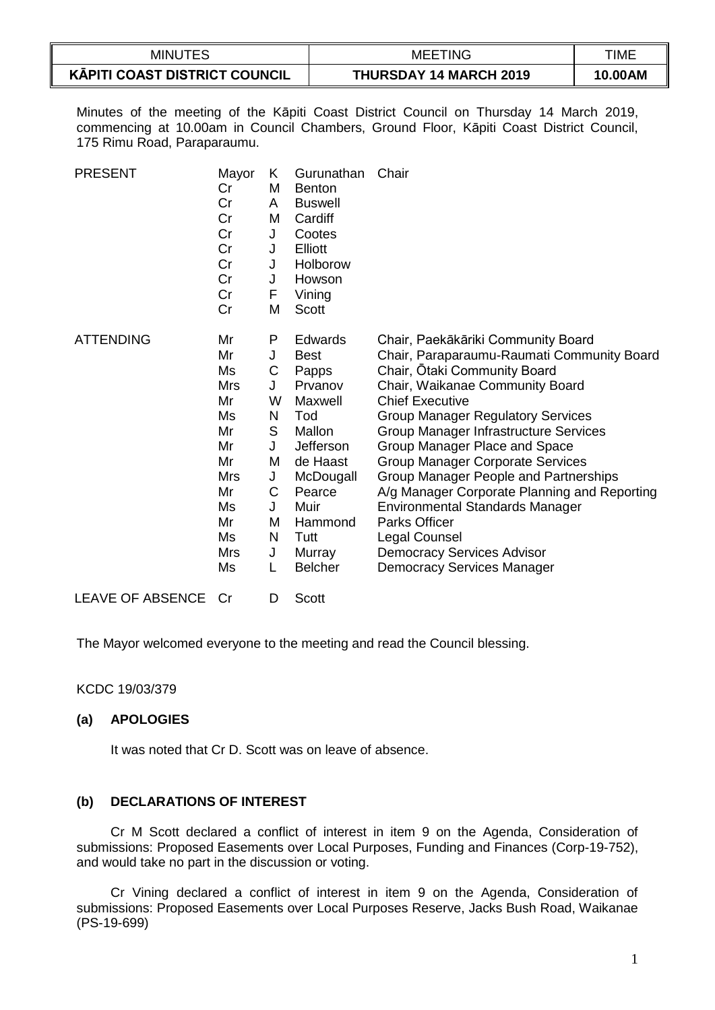| <b>MINUTES</b>                                 | <b>MEETING</b>                | TIME    |
|------------------------------------------------|-------------------------------|---------|
| $\sim$<br><b>KĀPITI COAST DISTRICT COUNCIL</b> | <b>THURSDAY 14 MARCH 2019</b> | 10.00AM |

Minutes of the meeting of the Kāpiti Coast District Council on Thursday 14 March 2019, commencing at 10.00am in Council Chambers, Ground Floor, Kāpiti Coast District Council, 175 Rimu Road, Paraparaumu.

| <b>PRESENT</b>   | Mayor<br>Cr<br>Cr<br>Cr<br>Cr<br>Cr<br>Cr<br>Cr<br>Cr<br>Cr                                                          | Κ<br>м<br>A<br>M<br>J<br>J<br>J<br>J<br>F<br>M                          | Gurunathan<br><b>Benton</b><br><b>Buswell</b><br>Cardiff<br>Cootes<br>Elliott<br>Holborow<br>Howson<br>Vining<br><b>Scott</b>                                                 | Chair                                                                                                                                                                                                                                                                                                                                                                                                                                                                                                                                                                                                |
|------------------|----------------------------------------------------------------------------------------------------------------------|-------------------------------------------------------------------------|-------------------------------------------------------------------------------------------------------------------------------------------------------------------------------|------------------------------------------------------------------------------------------------------------------------------------------------------------------------------------------------------------------------------------------------------------------------------------------------------------------------------------------------------------------------------------------------------------------------------------------------------------------------------------------------------------------------------------------------------------------------------------------------------|
| <b>ATTENDING</b> | Mr<br>Mr<br>Ms<br><b>Mrs</b><br>Mr<br>Ms<br>Mr<br>Mr<br>Mr<br><b>Mrs</b><br>Mr<br>Ms<br>Mr<br>Ms<br><b>Mrs</b><br>Ms | Ρ<br>J<br>С<br>J<br>W<br>N<br>S<br>J<br>M<br>J<br>C<br>J<br>M<br>N<br>J | Edwards<br><b>Best</b><br>Papps<br>Prvanov<br>Maxwell<br>Tod<br>Mallon<br>Jefferson<br>de Haast<br>McDougall<br>Pearce<br>Muir<br>Hammond<br>Tutt<br>Murray<br><b>Belcher</b> | Chair, Paekākāriki Community Board<br>Chair, Paraparaumu-Raumati Community Board<br>Chair, Otaki Community Board<br>Chair, Waikanae Community Board<br><b>Chief Executive</b><br><b>Group Manager Regulatory Services</b><br>Group Manager Infrastructure Services<br>Group Manager Place and Space<br><b>Group Manager Corporate Services</b><br>Group Manager People and Partnerships<br>A/g Manager Corporate Planning and Reporting<br><b>Environmental Standards Manager</b><br><b>Parks Officer</b><br>Legal Counsel<br><b>Democracy Services Advisor</b><br><b>Democracy Services Manager</b> |
| LEAVE OF ABSENCE | Cr                                                                                                                   | D                                                                       | Scott                                                                                                                                                                         |                                                                                                                                                                                                                                                                                                                                                                                                                                                                                                                                                                                                      |

The Mayor welcomed everyone to the meeting and read the Council blessing.

KCDC 19/03/379

#### **(a) APOLOGIES**

It was noted that Cr D. Scott was on leave of absence.

#### **(b) DECLARATIONS OF INTEREST**

Cr M Scott declared a conflict of interest in item 9 on the Agenda, Consideration of submissions: Proposed Easements over Local Purposes, Funding and Finances (Corp-19-752), and would take no part in the discussion or voting.

Cr Vining declared a conflict of interest in item 9 on the Agenda, Consideration of submissions: Proposed Easements over Local Purposes Reserve, Jacks Bush Road, Waikanae (PS-19-699)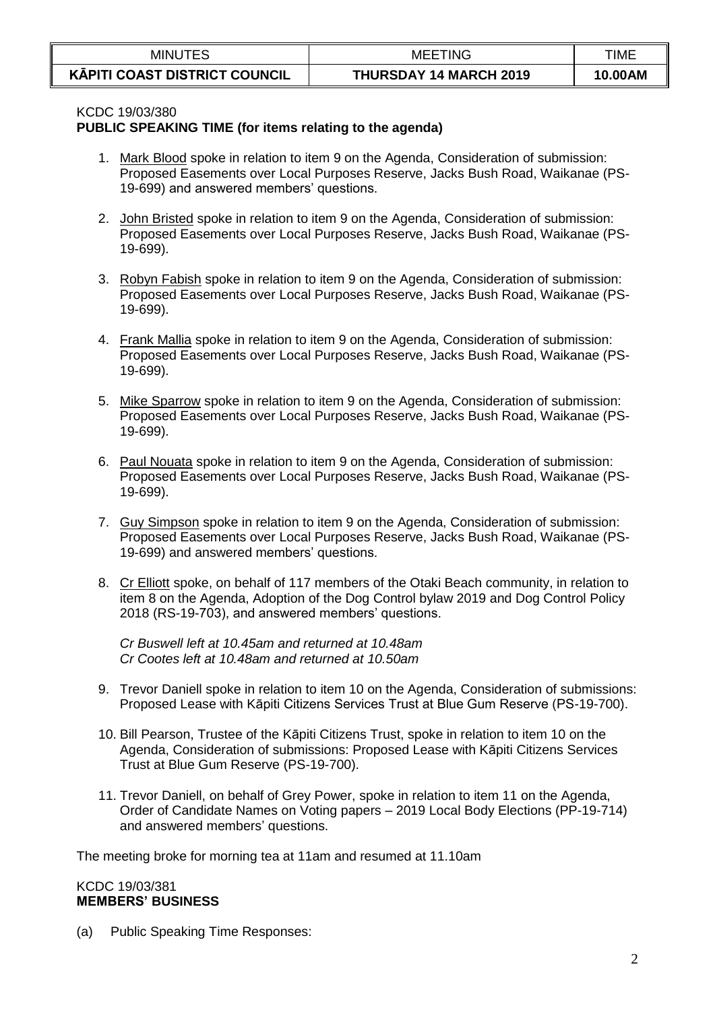| <b>MINUTES</b>                                 | <b>MEETING</b>                | TIME    |
|------------------------------------------------|-------------------------------|---------|
| $\sim$<br><b>KĀPITI COAST DISTRICT COUNCIL</b> | <b>THURSDAY 14 MARCH 2019</b> | 10.00AM |

#### KCDC 19/03/380

#### **PUBLIC SPEAKING TIME (for items relating to the agenda)**

- 1. Mark Blood spoke in relation to item 9 on the Agenda, Consideration of submission: Proposed Easements over Local Purposes Reserve, Jacks Bush Road, Waikanae (PS-19-699) and answered members' questions.
- 2. John Bristed spoke in relation to item 9 on the Agenda, Consideration of submission: Proposed Easements over Local Purposes Reserve, Jacks Bush Road, Waikanae (PS-19-699).
- 3. Robyn Fabish spoke in relation to item 9 on the Agenda, Consideration of submission: Proposed Easements over Local Purposes Reserve, Jacks Bush Road, Waikanae (PS-19-699).
- 4. Frank Mallia spoke in relation to item 9 on the Agenda, Consideration of submission: Proposed Easements over Local Purposes Reserve, Jacks Bush Road, Waikanae (PS-19-699).
- 5. Mike Sparrow spoke in relation to item 9 on the Agenda, Consideration of submission: Proposed Easements over Local Purposes Reserve, Jacks Bush Road, Waikanae (PS-19-699).
- 6. Paul Nouata spoke in relation to item 9 on the Agenda, Consideration of submission: Proposed Easements over Local Purposes Reserve, Jacks Bush Road, Waikanae (PS-19-699).
- 7. Guy Simpson spoke in relation to item 9 on the Agenda, Consideration of submission: Proposed Easements over Local Purposes Reserve, Jacks Bush Road, Waikanae (PS-19-699) and answered members' questions.
- 8. Cr Elliott spoke, on behalf of 117 members of the Otaki Beach community, in relation to item 8 on the Agenda, Adoption of the Dog Control bylaw 2019 and Dog Control Policy 2018 (RS-19-703), and answered members' questions.

*Cr Buswell left at 10.45am and returned at 10.48am Cr Cootes left at 10.48am and returned at 10.50am*

- 9. Trevor Daniell spoke in relation to item 10 on the Agenda, Consideration of submissions: Proposed Lease with Kāpiti Citizens Services Trust at Blue Gum Reserve (PS-19-700).
- 10. Bill Pearson, Trustee of the Kāpiti Citizens Trust, spoke in relation to item 10 on the Agenda, Consideration of submissions: Proposed Lease with Kāpiti Citizens Services Trust at Blue Gum Reserve (PS-19-700).
- 11. Trevor Daniell, on behalf of Grey Power, spoke in relation to item 11 on the Agenda, Order of Candidate Names on Voting papers – 2019 Local Body Elections (PP-19-714) and answered members' questions.

The meeting broke for morning tea at 11am and resumed at 11.10am

#### KCDC 19/03/381 **MEMBERS' BUSINESS**

(a) Public Speaking Time Responses: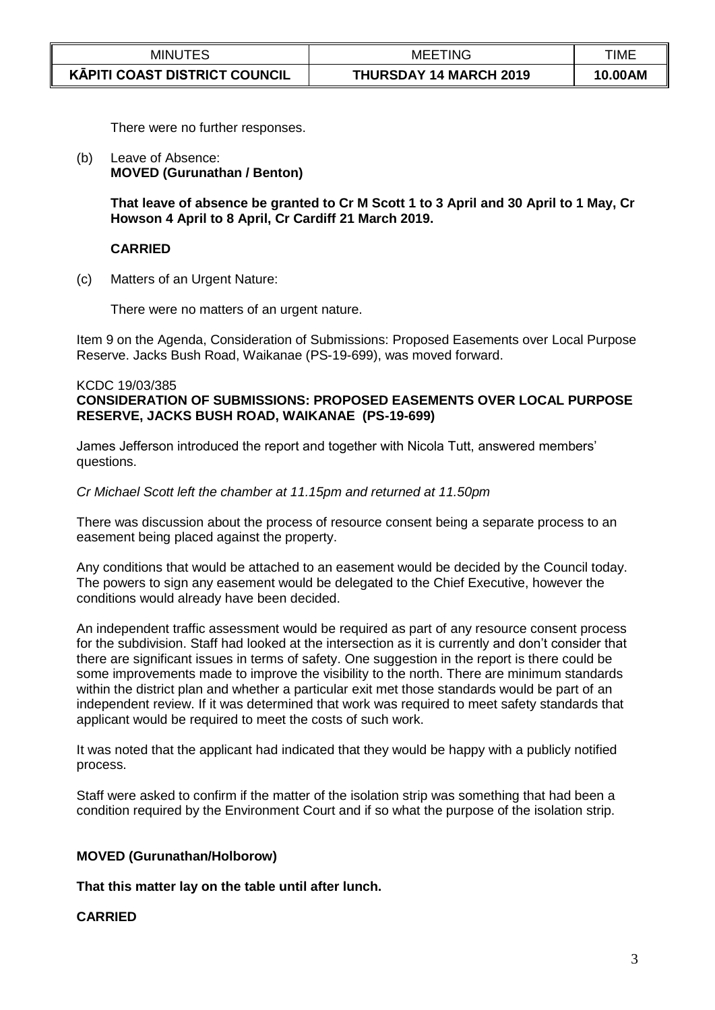| <b>MINUTES</b>                | <b>MEETING</b>                | TIME    |
|-------------------------------|-------------------------------|---------|
| KĀPITI COAST DISTRICT COUNCIL | <b>THURSDAY 14 MARCH 2019</b> | 10.00AM |

There were no further responses.

(b) Leave of Absence: **MOVED (Gurunathan / Benton)**

> **That leave of absence be granted to Cr M Scott 1 to 3 April and 30 April to 1 May, Cr Howson 4 April to 8 April, Cr Cardiff 21 March 2019.**

### **CARRIED**

(c) Matters of an Urgent Nature:

There were no matters of an urgent nature.

Item 9 on the Agenda, Consideration of Submissions: Proposed Easements over Local Purpose Reserve. Jacks Bush Road, Waikanae (PS-19-699), was moved forward.

#### KCDC 19/03/385

### **CONSIDERATION OF SUBMISSIONS: PROPOSED EASEMENTS OVER LOCAL PURPOSE RESERVE, JACKS BUSH ROAD, WAIKANAE (PS-19-699)**

James Jefferson introduced the report and together with Nicola Tutt, answered members' questions.

#### *Cr Michael Scott left the chamber at 11.15pm and returned at 11.50pm*

There was discussion about the process of resource consent being a separate process to an easement being placed against the property.

Any conditions that would be attached to an easement would be decided by the Council today. The powers to sign any easement would be delegated to the Chief Executive, however the conditions would already have been decided.

An independent traffic assessment would be required as part of any resource consent process for the subdivision. Staff had looked at the intersection as it is currently and don't consider that there are significant issues in terms of safety. One suggestion in the report is there could be some improvements made to improve the visibility to the north. There are minimum standards within the district plan and whether a particular exit met those standards would be part of an independent review. If it was determined that work was required to meet safety standards that applicant would be required to meet the costs of such work.

It was noted that the applicant had indicated that they would be happy with a publicly notified process.

Staff were asked to confirm if the matter of the isolation strip was something that had been a condition required by the Environment Court and if so what the purpose of the isolation strip.

#### **MOVED (Gurunathan/Holborow)**

**That this matter lay on the table until after lunch.**

#### **CARRIED**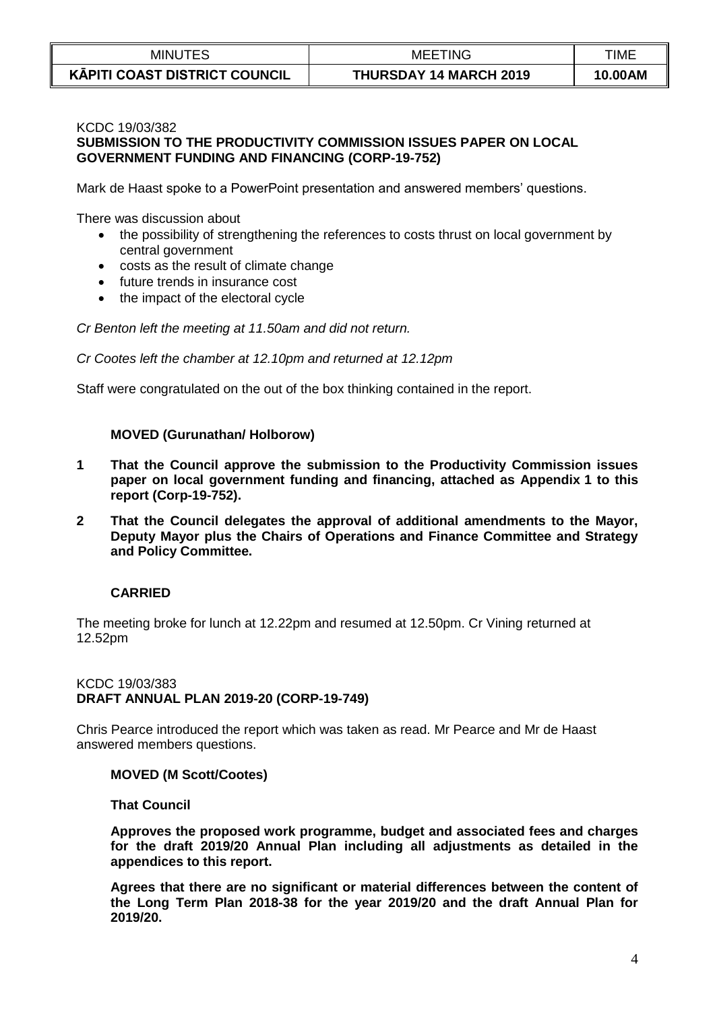| <b>MINUTES</b>                       | <b>MEETING</b>                | <b>TIME</b> |
|--------------------------------------|-------------------------------|-------------|
| <b>KĀPITI COAST DISTRICT COUNCIL</b> | <b>THURSDAY 14 MARCH 2019</b> | 10.00AM     |

# KCDC 19/03/382

# **SUBMISSION TO THE PRODUCTIVITY COMMISSION ISSUES PAPER ON LOCAL GOVERNMENT FUNDING AND FINANCING (CORP-19-752)**

Mark de Haast spoke to a PowerPoint presentation and answered members' questions.

There was discussion about

- the possibility of strengthening the references to costs thrust on local government by central government
- costs as the result of climate change
- future trends in insurance cost
- the impact of the electoral cycle

*Cr Benton left the meeting at 11.50am and did not return.*

*Cr Cootes left the chamber at 12.10pm and returned at 12.12pm*

Staff were congratulated on the out of the box thinking contained in the report.

### **MOVED (Gurunathan/ Holborow)**

- **1 That the Council approve the submission to the Productivity Commission issues paper on local government funding and financing, attached as Appendix 1 to this report (Corp-19-752).**
- **2 That the Council delegates the approval of additional amendments to the Mayor, Deputy Mayor plus the Chairs of Operations and Finance Committee and Strategy and Policy Committee.**

### **CARRIED**

The meeting broke for lunch at 12.22pm and resumed at 12.50pm. Cr Vining returned at 12.52pm

#### KCDC 19/03/383 **DRAFT ANNUAL PLAN 2019-20 (CORP-19-749)**

Chris Pearce introduced the report which was taken as read. Mr Pearce and Mr de Haast answered members questions.

### **MOVED (M Scott/Cootes)**

**That Council**

**Approves the proposed work programme, budget and associated fees and charges for the draft 2019/20 Annual Plan including all adjustments as detailed in the appendices to this report.**

**Agrees that there are no significant or material differences between the content of the Long Term Plan 2018-38 for the year 2019/20 and the draft Annual Plan for 2019/20.**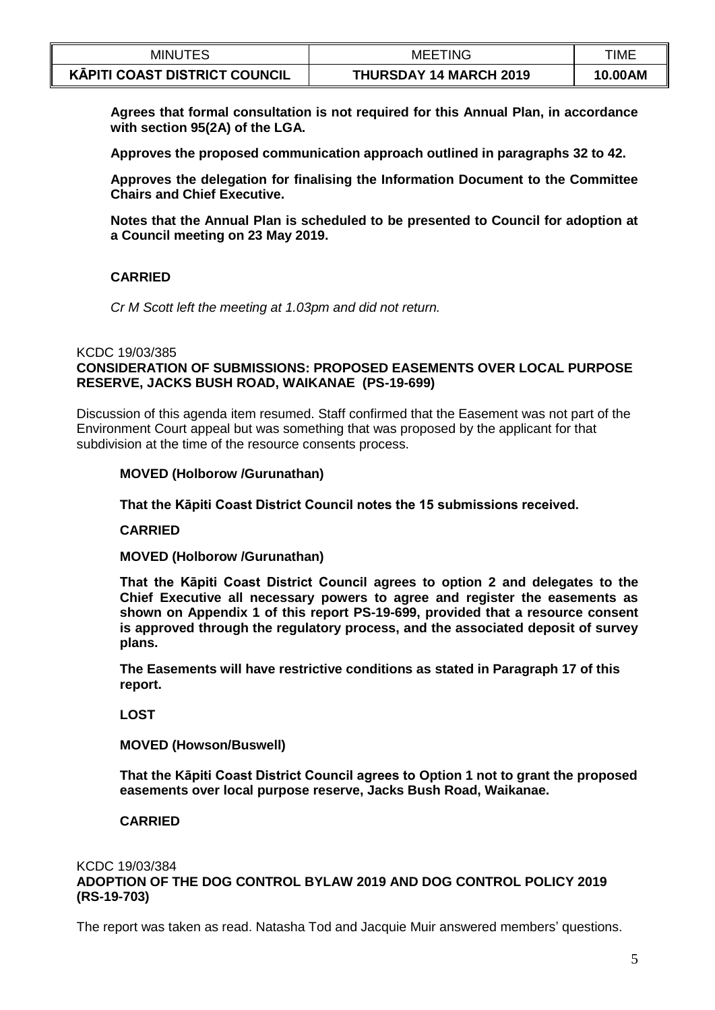| <b>MINUTES</b>                | <b>MEETING</b>                | TIME    |
|-------------------------------|-------------------------------|---------|
| KĀPITI COAST DISTRICT COUNCIL | <b>THURSDAY 14 MARCH 2019</b> | 10.00AM |

**Agrees that formal consultation is not required for this Annual Plan, in accordance with section 95(2A) of the LGA.**

**Approves the proposed communication approach outlined in paragraphs 32 to 42.**

**Approves the delegation for finalising the Information Document to the Committee Chairs and Chief Executive.**

**Notes that the Annual Plan is scheduled to be presented to Council for adoption at a Council meeting on 23 May 2019.**

## **CARRIED**

*Cr M Scott left the meeting at 1.03pm and did not return.*

#### KCDC 19/03/385

### **CONSIDERATION OF SUBMISSIONS: PROPOSED EASEMENTS OVER LOCAL PURPOSE RESERVE, JACKS BUSH ROAD, WAIKANAE (PS-19-699)**

Discussion of this agenda item resumed. Staff confirmed that the Easement was not part of the Environment Court appeal but was something that was proposed by the applicant for that subdivision at the time of the resource consents process.

#### **MOVED (Holborow /Gurunathan)**

**That the Kāpiti Coast District Council notes the 15 submissions received.**

**CARRIED**

**MOVED (Holborow /Gurunathan)**

**That the Kāpiti Coast District Council agrees to option 2 and delegates to the Chief Executive all necessary powers to agree and register the easements as shown on Appendix 1 of this report PS-19-699, provided that a resource consent is approved through the regulatory process, and the associated deposit of survey plans.** 

**The Easements will have restrictive conditions as stated in Paragraph 17 of this report.**

**LOST**

**MOVED (Howson/Buswell)**

**That the Kāpiti Coast District Council agrees to Option 1 not to grant the proposed easements over local purpose reserve, Jacks Bush Road, Waikanae.**

### **CARRIED**

#### KCDC 19/03/384 **ADOPTION OF THE DOG CONTROL BYLAW 2019 AND DOG CONTROL POLICY 2019 (RS-19-703)**

The report was taken as read. Natasha Tod and Jacquie Muir answered members' questions.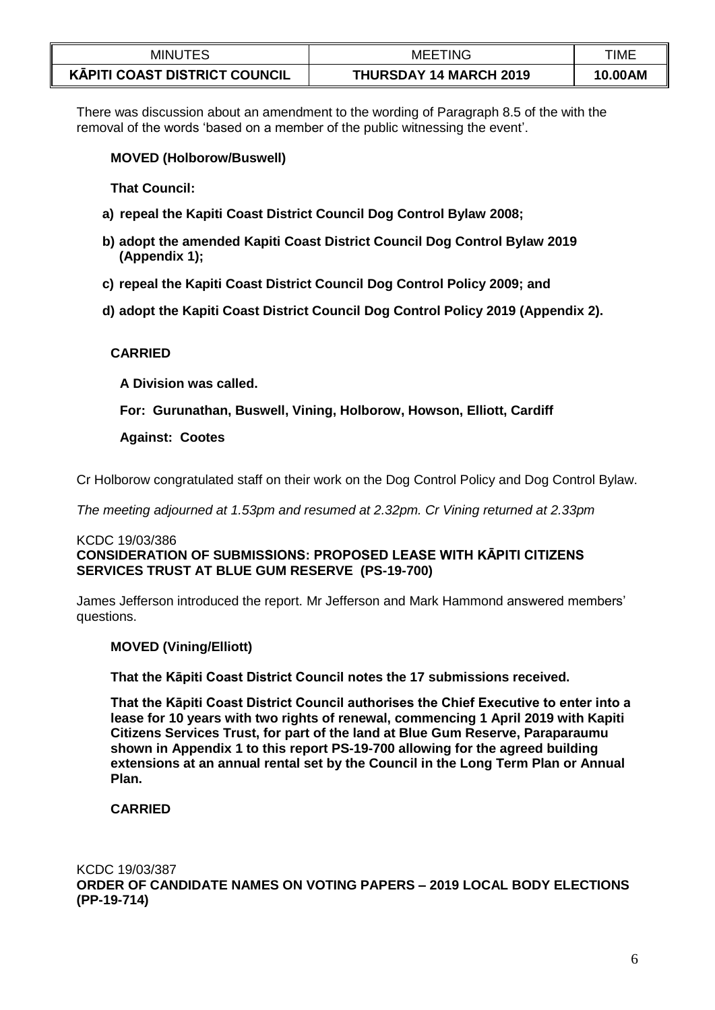| <b>MINUTES</b>                       | 'ING<br>MEE                   | TIME    |
|--------------------------------------|-------------------------------|---------|
| <b>KAPITI COAST DISTRICT COUNCIL</b> | <b>THURSDAY 14 MARCH 2019</b> | 10.00AM |

There was discussion about an amendment to the wording of Paragraph 8.5 of the with the removal of the words 'based on a member of the public witnessing the event'.

### **MOVED (Holborow/Buswell)**

**That Council:** 

- **a) repeal the Kapiti Coast District Council Dog Control Bylaw 2008;**
- **b) adopt the amended Kapiti Coast District Council Dog Control Bylaw 2019 (Appendix 1);**
- **c) repeal the Kapiti Coast District Council Dog Control Policy 2009; and**
- **d) adopt the Kapiti Coast District Council Dog Control Policy 2019 (Appendix 2).**

## **CARRIED**

**A Division was called.**

**For: Gurunathan, Buswell, Vining, Holborow, Howson, Elliott, Cardiff**

### **Against: Cootes**

Cr Holborow congratulated staff on their work on the Dog Control Policy and Dog Control Bylaw.

*The meeting adjourned at 1.53pm and resumed at 2.32pm. Cr Vining returned at 2.33pm*

# KCDC 19/03/386 **CONSIDERATION OF SUBMISSIONS: PROPOSED LEASE WITH KĀPITI CITIZENS SERVICES TRUST AT BLUE GUM RESERVE (PS-19-700)**

James Jefferson introduced the report. Mr Jefferson and Mark Hammond answered members' questions.

### **MOVED (Vining/Elliott)**

**That the Kāpiti Coast District Council notes the 17 submissions received.**

**That the Kāpiti Coast District Council authorises the Chief Executive to enter into a lease for 10 years with two rights of renewal, commencing 1 April 2019 with Kapiti Citizens Services Trust, for part of the land at Blue Gum Reserve, Paraparaumu shown in Appendix 1 to this report PS-19-700 allowing for the agreed building extensions at an annual rental set by the Council in the Long Term Plan or Annual Plan.**

# **CARRIED**

# KCDC 19/03/387

**ORDER OF CANDIDATE NAMES ON VOTING PAPERS – 2019 LOCAL BODY ELECTIONS (PP-19-714)**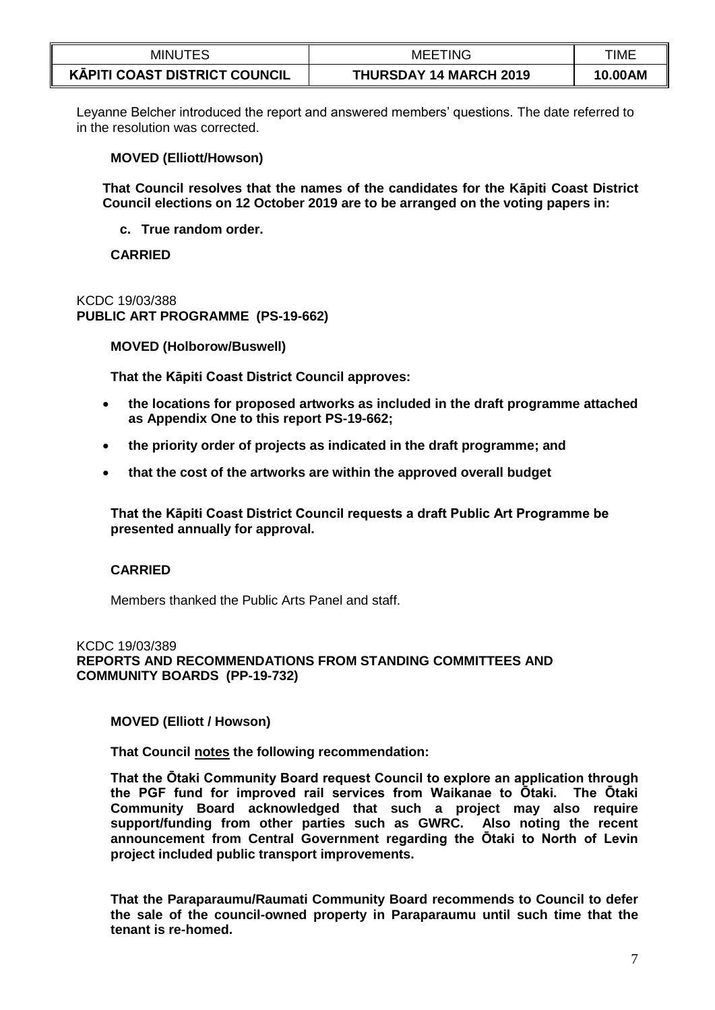| <b>MINUTES</b>                       | <b>MEETING</b>                | TIME    |
|--------------------------------------|-------------------------------|---------|
| <b>KĀPITI COAST DISTRICT COUNCIL</b> | <b>THURSDAY 14 MARCH 2019</b> | 10.00AM |

Leyanne Belcher introduced the report and answered members' questions. The date referred to in the resolution was corrected.

### **MOVED (Elliott/Howson)**

**That Council resolves that the names of the candidates for the Kāpiti Coast District Council elections on 12 October 2019 are to be arranged on the voting papers in:**

**c. True random order.**

**CARRIED**

KCDC 19/03/388 **PUBLIC ART PROGRAMME (PS-19-662)**

**MOVED (Holborow/Buswell)**

**That the Kāpiti Coast District Council approves:** 

- **the locations for proposed artworks as included in the draft programme attached as Appendix One to this report PS-19-662;**
- **the priority order of projects as indicated in the draft programme; and**
- **that the cost of the artworks are within the approved overall budget**

**That the Kāpiti Coast District Council requests a draft Public Art Programme be presented annually for approval.** 

### **CARRIED**

Members thanked the Public Arts Panel and staff.

KCDC 19/03/389 **REPORTS AND RECOMMENDATIONS FROM STANDING COMMITTEES AND COMMUNITY BOARDS (PP-19-732)**

**MOVED (Elliott / Howson)**

**That Council notes the following recommendation:**

**That the Ōtaki Community Board request Council to explore an application through the PGF fund for improved rail services from Waikanae to Ōtaki. The Ōtaki Community Board acknowledged that such a project may also require support/funding from other parties such as GWRC. Also noting the recent announcement from Central Government regarding the Ōtaki to North of Levin project included public transport improvements.**

**That the Paraparaumu/Raumati Community Board recommends to Council to defer the sale of the council-owned property in Paraparaumu until such time that the tenant is re-homed.**